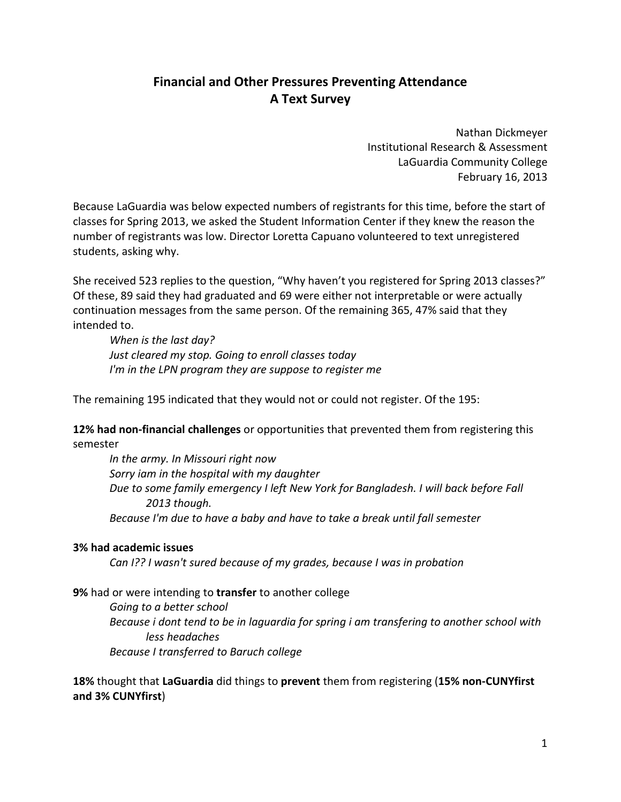## **Financial and Other Pressures Preventing Attendance A Text Survey**

Nathan Dickmeyer Institutional Research & Assessment LaGuardia Community College February 16, 2013

Because LaGuardia was below expected numbers of registrants for this time, before the start of classes for Spring 2013, we asked the Student Information Center if they knew the reason the number of registrants was low. Director Loretta Capuano volunteered to text unregistered students, asking why.

She received 523 replies to the question, "Why haven't you registered for Spring 2013 classes?" Of these, 89 said they had graduated and 69 were either not interpretable or were actually continuation messages from the same person. Of the remaining 365, 47% said that they intended to.

*When is the last day? Just cleared my stop. Going to enroll classes today I'm in the LPN program they are suppose to register me*

The remaining 195 indicated that they would not or could not register. Of the 195:

**12% had non-financial challenges** or opportunities that prevented them from registering this semester

*In the army. In Missouri right now Sorry iam in the hospital with my daughter Due to some family emergency I left New York for Bangladesh. I will back before Fall 2013 though. Because I'm due to have a baby and have to take a break until fall semester*

## **3% had academic issues**

*Can I?? I wasn't sured because of my grades, because I was in probation*

**9%** had or were intending to **transfer** to another college

*Going to a better school Because i dont tend to be in laguardia for spring i am transfering to another school with less headaches Because I transferred to Baruch college*

**18%** thought that **LaGuardia** did things to **prevent** them from registering (**15% non-CUNYfirst and 3% CUNYfirst**)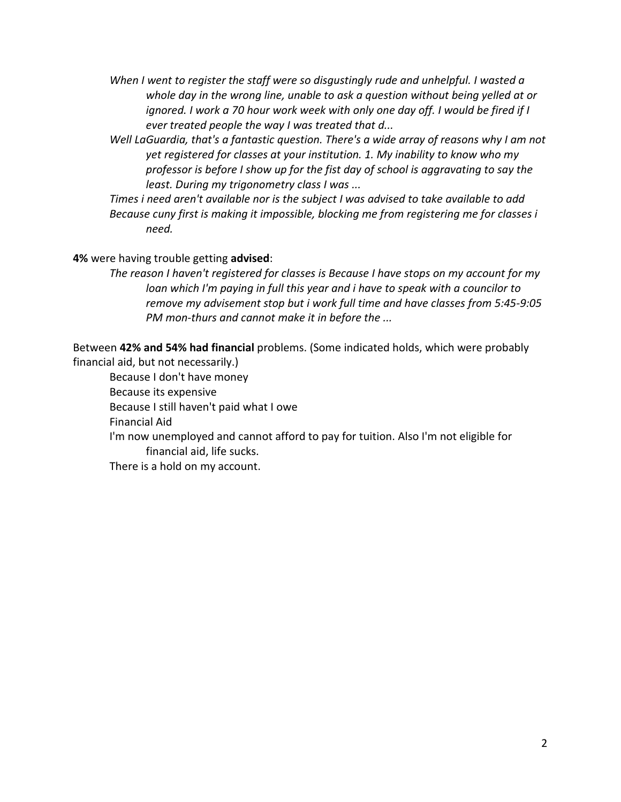- *When I went to register the staff were so disgustingly rude and unhelpful. I wasted a whole day in the wrong line, unable to ask a question without being yelled at or ignored. I work a 70 hour work week with only one day off. I would be fired if I ever treated people the way I was treated that d...*
- *Well LaGuardia, that's a fantastic question. There's a wide array of reasons why I am not yet registered for classes at your institution. 1. My inability to know who my professor is before I show up for the fist day of school is aggravating to say the least. During my trigonometry class I was ...*

*Times i need aren't available nor is the subject I was advised to take available to add Because cuny first is making it impossible, blocking me from registering me for classes i need.*

**4%** were having trouble getting **advised**:

*The reason I haven't registered for classes is Because I have stops on my account for my loan which I'm paying in full this year and i have to speak with a councilor to remove my advisement stop but i work full time and have classes from 5:45-9:05 PM mon-thurs and cannot make it in before the ...*

Between **42% and 54% had financial** problems. (Some indicated holds, which were probably financial aid, but not necessarily.)

Because I don't have money Because its expensive Because I still haven't paid what I owe Financial Aid I'm now unemployed and cannot afford to pay for tuition. Also I'm not eligible for financial aid, life sucks. There is a hold on my account.